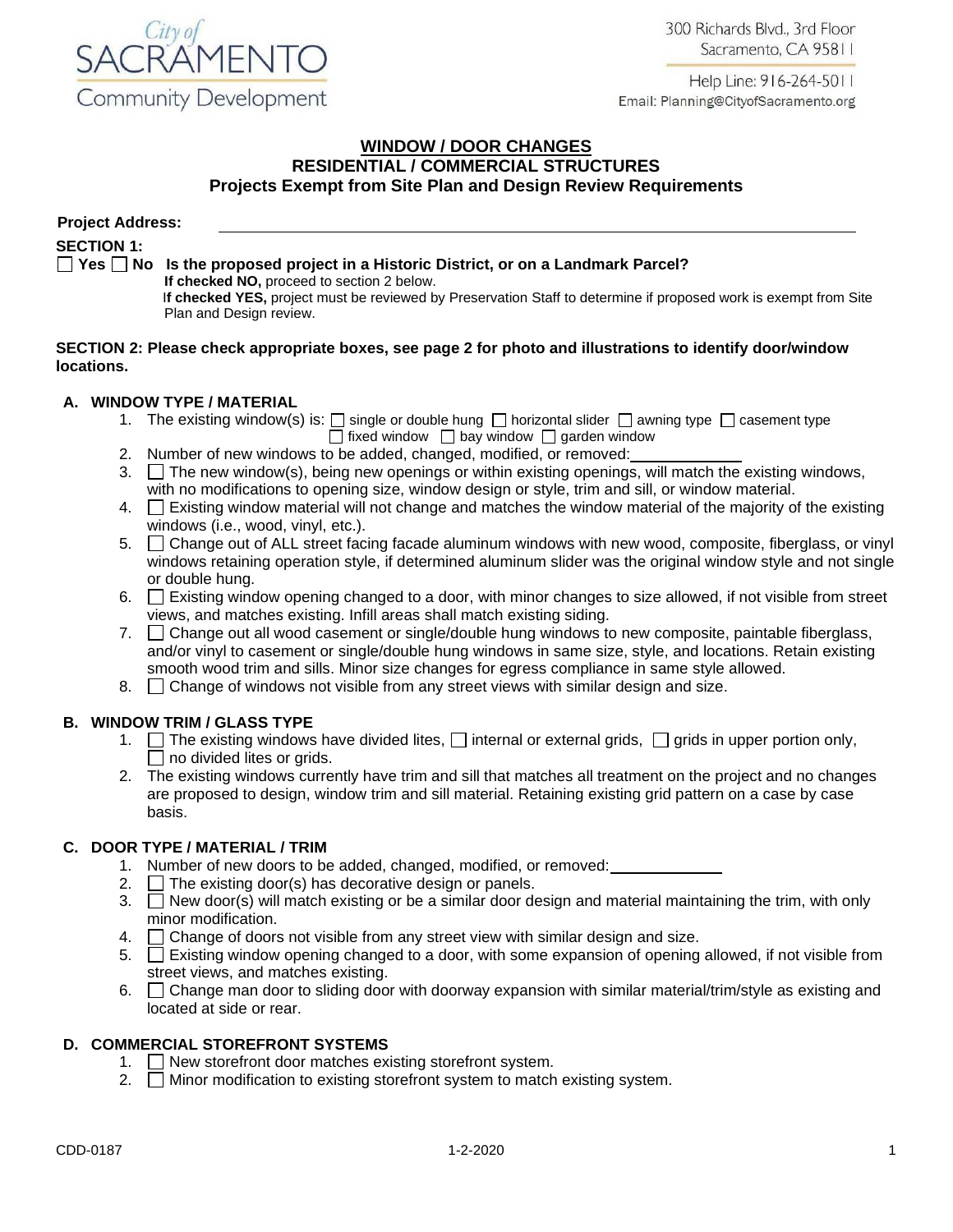300 Richards Blvd., 3rd Floor Sacramento, CA 95811





#### **WINDOW / DOOR CHANGES RESIDENTIAL / COMMERCIAL STRUCTURES Projects Exempt from Site Plan and Design Review Requirements**

| <b>Project Address:</b>                                                                                   |                                                                                                                                                                                           |  |  |  |  |  |  |  |
|-----------------------------------------------------------------------------------------------------------|-------------------------------------------------------------------------------------------------------------------------------------------------------------------------------------------|--|--|--|--|--|--|--|
| <b>SECTION 1:</b>                                                                                         |                                                                                                                                                                                           |  |  |  |  |  |  |  |
|                                                                                                           | $\Box$ Yes $\Box$ No Is the proposed project in a Historic District, or on a Landmark Parcel?                                                                                             |  |  |  |  |  |  |  |
|                                                                                                           | If checked NO, proceed to section 2 below.<br>If checked YES, project must be reviewed by Preservation Staff to determine if proposed work is exempt from Site<br>Plan and Design review. |  |  |  |  |  |  |  |
| SECTION 2: Please check appropriate boxes, see page 2 for photo and illustrations to identify door/window |                                                                                                                                                                                           |  |  |  |  |  |  |  |

### **A. WINDOW TYPE / MATERIAL**

**locations.** 

- 1. The existing window(s) is:  $\Box$  single or double hung  $\Box$  horizontal slider  $\Box$  awning type  $\Box$  casement type  $\Box$  fixed window  $\Box$  bay window  $\Box$  garden window
- 2. Number of new windows to be added, changed, modified, or removed:
- 3.  $\Box$  The new window(s), being new openings or within existing openings, will match the existing windows, with no modifications to opening size, window design or style, trim and sill, or window material.
- 4. Existing window material will not change and matches the window material of the majority of the existing windows (i.e., wood, vinyl, etc.).
- 5. Change out of ALL street facing facade aluminum windows with new wood, composite, fiberglass, or vinyl windows retaining operation style, if determined aluminum slider was the original window style and not single or double hung.
- 6. Existing window opening changed to a door, with minor changes to size allowed, if not visible from street views, and matches existing. Infill areas shall match existing siding.
- 7.  $\Box$  Change out all wood casement or single/double hung windows to new composite, paintable fiberglass, and/or vinyl to casement or single/double hung windows in same size, style, and locations. Retain existing smooth wood trim and sills. Minor size changes for egress compliance in same style allowed.
- 8.  $\Box$  Change of windows not visible from any street views with similar design and size.

### **B. WINDOW TRIM / GLASS TYPE**

- 1.  $\Box$  The existing windows have divided lites,  $\Box$  internal or external grids,  $\Box$  grids in upper portion only,  $\Box$  no divided lites or grids.
- 2. The existing windows currently have trim and sill that matches all treatment on the project and no changes are proposed to design, window trim and sill material. Retaining existing grid pattern on a case by case basis.

# **C. DOOR TYPE / MATERIAL / TRIM**

- 1. Number of new doors to be added, changed, modified, or removed:
- 2.  $\Box$  The existing door(s) has decorative design or panels.
- 3.  $\Box$  New door(s) will match existing or be a similar door design and material maintaining the trim, with only minor modification.
- 4.  $\Box$  Change of doors not visible from any street view with similar design and size.
- 5.  $\Box$  Existing window opening changed to a door, with some expansion of opening allowed, if not visible from street views, and matches existing.
- 6.  $\Box$  Change man door to sliding door with doorway expansion with similar material/trim/style as existing and located at side or rear.

# **D. COMMERCIAL STOREFRONT SYSTEMS**

- 1. New storefront door matches existing storefront system.
- 2.  $\Box$  Minor modification to existing storefront system to match existing system.